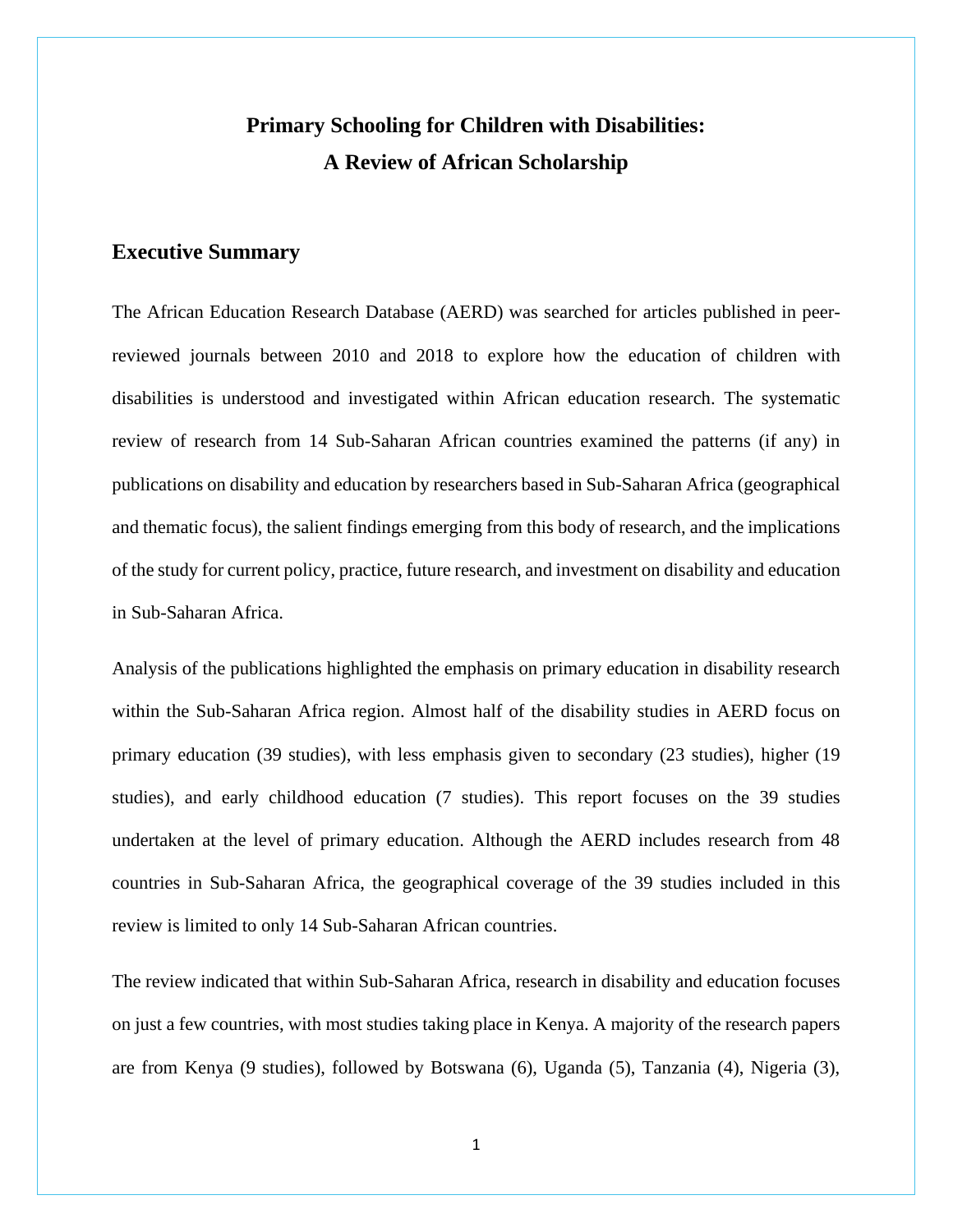## **Primary Schooling for Children with Disabilities: A Review of African Scholarship**

## **Executive Summary**

The African Education Research Database (AERD) was searched for articles published in peerreviewed journals between 2010 and 2018 to explore how the education of children with disabilities is understood and investigated within African education research. The systematic review of research from 14 Sub-Saharan African countries examined the patterns (if any) in publications on disability and education by researchers based in Sub-Saharan Africa (geographical and thematic focus), the salient findings emerging from this body of research, and the implications of the study for current policy, practice, future research, and investment on disability and education in Sub-Saharan Africa.

Analysis of the publications highlighted the emphasis on primary education in disability research within the Sub-Saharan Africa region. Almost half of the disability studies in AERD focus on primary education (39 studies), with less emphasis given to secondary (23 studies), higher (19 studies), and early childhood education (7 studies). This report focuses on the 39 studies undertaken at the level of primary education. Although the AERD includes research from 48 countries in Sub-Saharan Africa, the geographical coverage of the 39 studies included in this review is limited to only 14 Sub-Saharan African countries.

The review indicated that within Sub-Saharan Africa, research in disability and education focuses on just a few countries, with most studies taking place in Kenya. A majority of the research papers are from Kenya (9 studies), followed by Botswana (6), Uganda (5), Tanzania (4), Nigeria (3),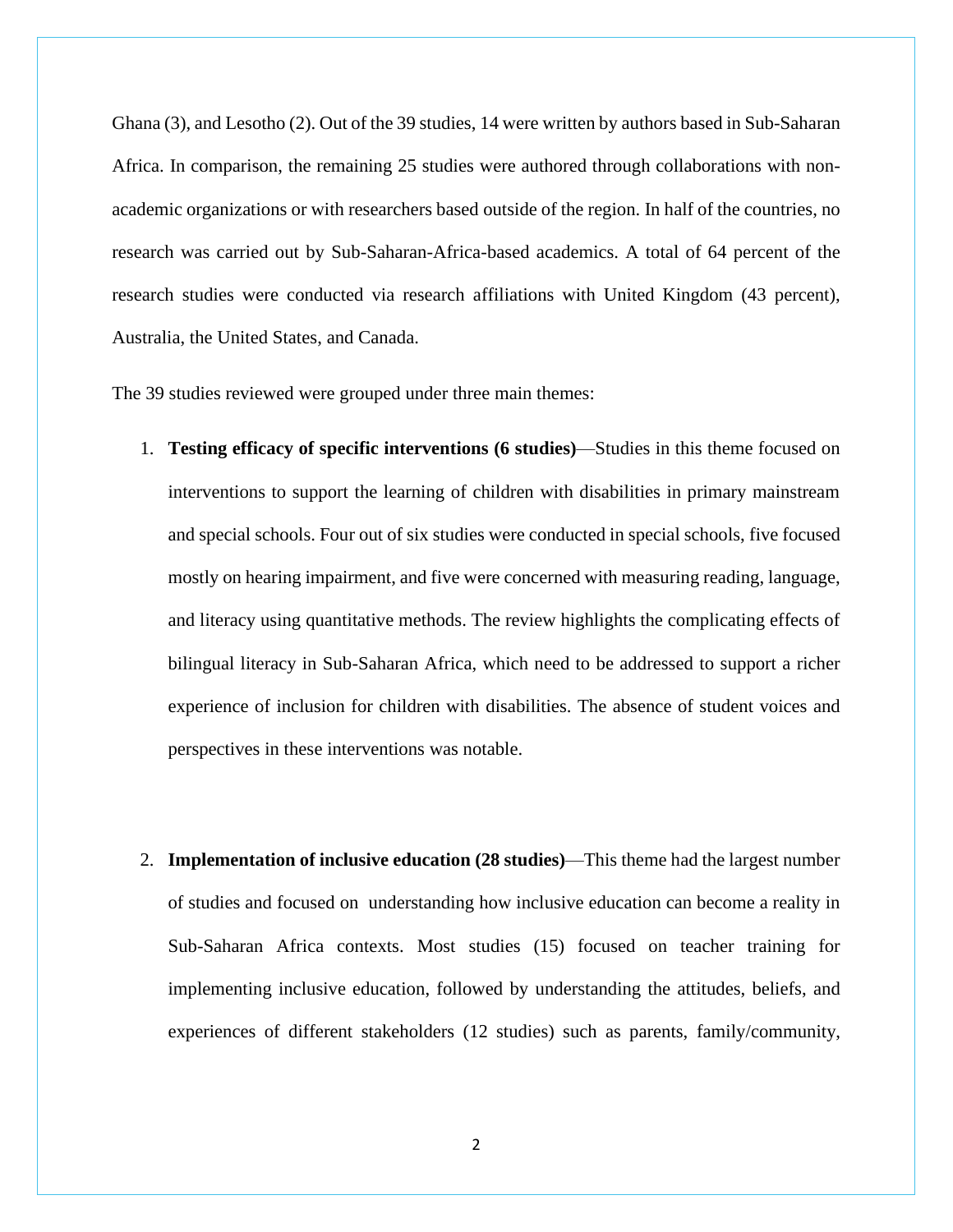Ghana (3), and Lesotho (2). Out of the 39 studies, 14 were written by authors based in Sub-Saharan Africa. In comparison, the remaining 25 studies were authored through collaborations with nonacademic organizations or with researchers based outside of the region. In half of the countries, no research was carried out by Sub-Saharan-Africa-based academics. A total of 64 percent of the research studies were conducted via research affiliations with United Kingdom (43 percent), Australia, the United States, and Canada.

The 39 studies reviewed were grouped under three main themes:

- 1. **Testing efficacy of specific interventions (6 studies)**—Studies in this theme focused on interventions to support the learning of children with disabilities in primary mainstream and special schools. Four out of six studies were conducted in special schools, five focused mostly on hearing impairment, and five were concerned with measuring reading, language, and literacy using quantitative methods. The review highlights the complicating effects of bilingual literacy in Sub-Saharan Africa, which need to be addressed to support a richer experience of inclusion for children with disabilities. The absence of student voices and perspectives in these interventions was notable.
- 2. **Implementation of inclusive education (28 studies)**—This theme had the largest number of studies and focused on understanding how inclusive education can become a reality in Sub-Saharan Africa contexts. Most studies (15) focused on teacher training for implementing inclusive education, followed by understanding the attitudes, beliefs, and experiences of different stakeholders (12 studies) such as parents, family/community,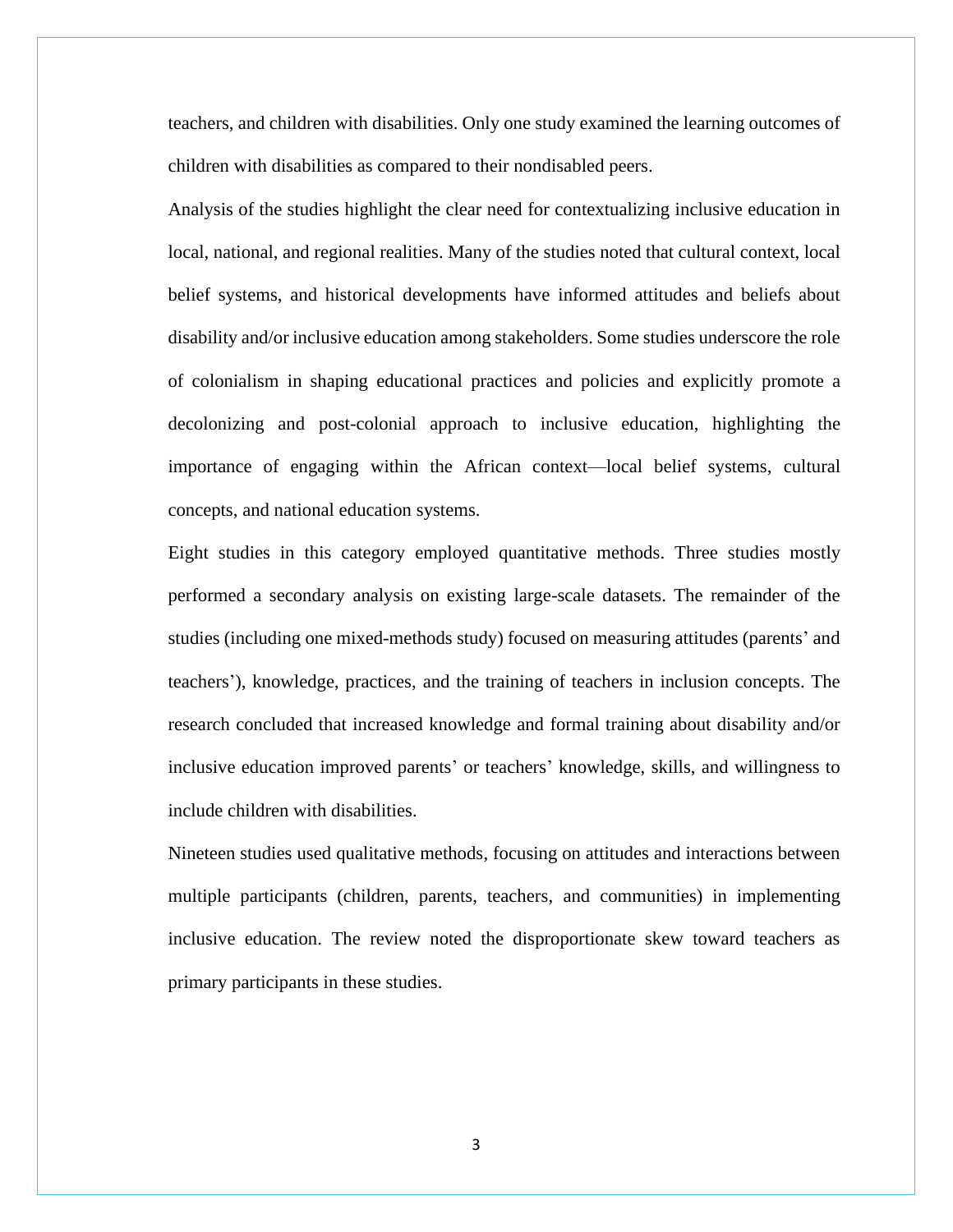teachers, and children with disabilities. Only one study examined the learning outcomes of children with disabilities as compared to their nondisabled peers.

Analysis of the studies highlight the clear need for contextualizing inclusive education in local, national, and regional realities. Many of the studies noted that cultural context, local belief systems, and historical developments have informed attitudes and beliefs about disability and/or inclusive education among stakeholders. Some studies underscore the role of colonialism in shaping educational practices and policies and explicitly promote a decolonizing and post-colonial approach to inclusive education, highlighting the importance of engaging within the African context—local belief systems, cultural concepts, and national education systems.

Eight studies in this category employed quantitative methods. Three studies mostly performed a secondary analysis on existing large-scale datasets. The remainder of the studies (including one mixed-methods study) focused on measuring attitudes (parents' and teachers'), knowledge, practices, and the training of teachers in inclusion concepts. The research concluded that increased knowledge and formal training about disability and/or inclusive education improved parents' or teachers' knowledge, skills, and willingness to include children with disabilities.

Nineteen studies used qualitative methods, focusing on attitudes and interactions between multiple participants (children, parents, teachers, and communities) in implementing inclusive education. The review noted the disproportionate skew toward teachers as primary participants in these studies.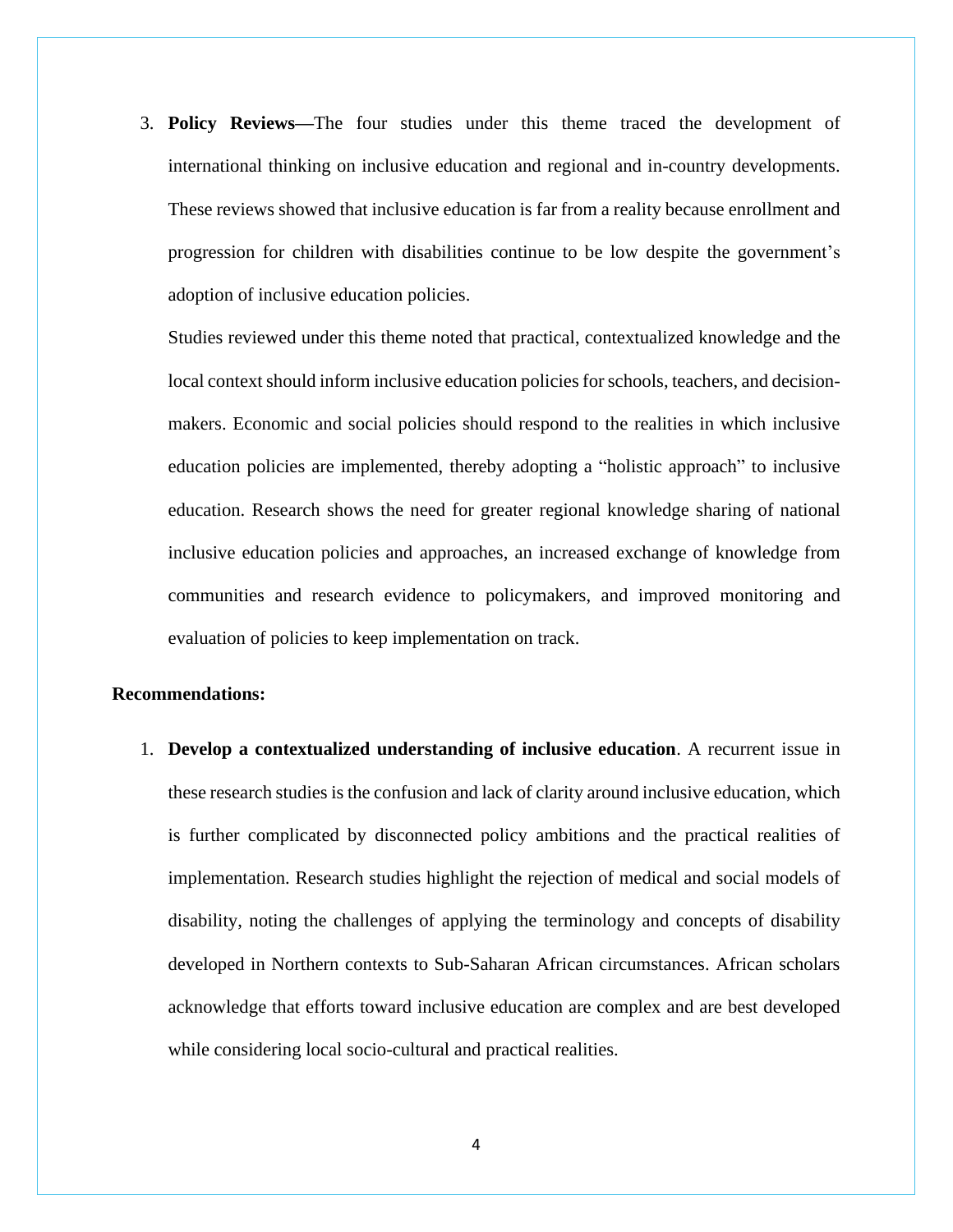3. **Policy Reviews—**The four studies under this theme traced the development of international thinking on inclusive education and regional and in-country developments. These reviews showed that inclusive education is far from a reality because enrollment and progression for children with disabilities continue to be low despite the government's adoption of inclusive education policies.

Studies reviewed under this theme noted that practical, contextualized knowledge and the local context should inform inclusive education policies for schools, teachers, and decisionmakers. Economic and social policies should respond to the realities in which inclusive education policies are implemented, thereby adopting a "holistic approach" to inclusive education. Research shows the need for greater regional knowledge sharing of national inclusive education policies and approaches, an increased exchange of knowledge from communities and research evidence to policymakers, and improved monitoring and evaluation of policies to keep implementation on track.

## **Recommendations:**

1. **Develop a contextualized understanding of inclusive education**. A recurrent issue in these research studies is the confusion and lack of clarity around inclusive education, which is further complicated by disconnected policy ambitions and the practical realities of implementation. Research studies highlight the rejection of medical and social models of disability, noting the challenges of applying the terminology and concepts of disability developed in Northern contexts to Sub-Saharan African circumstances. African scholars acknowledge that efforts toward inclusive education are complex and are best developed while considering local socio-cultural and practical realities.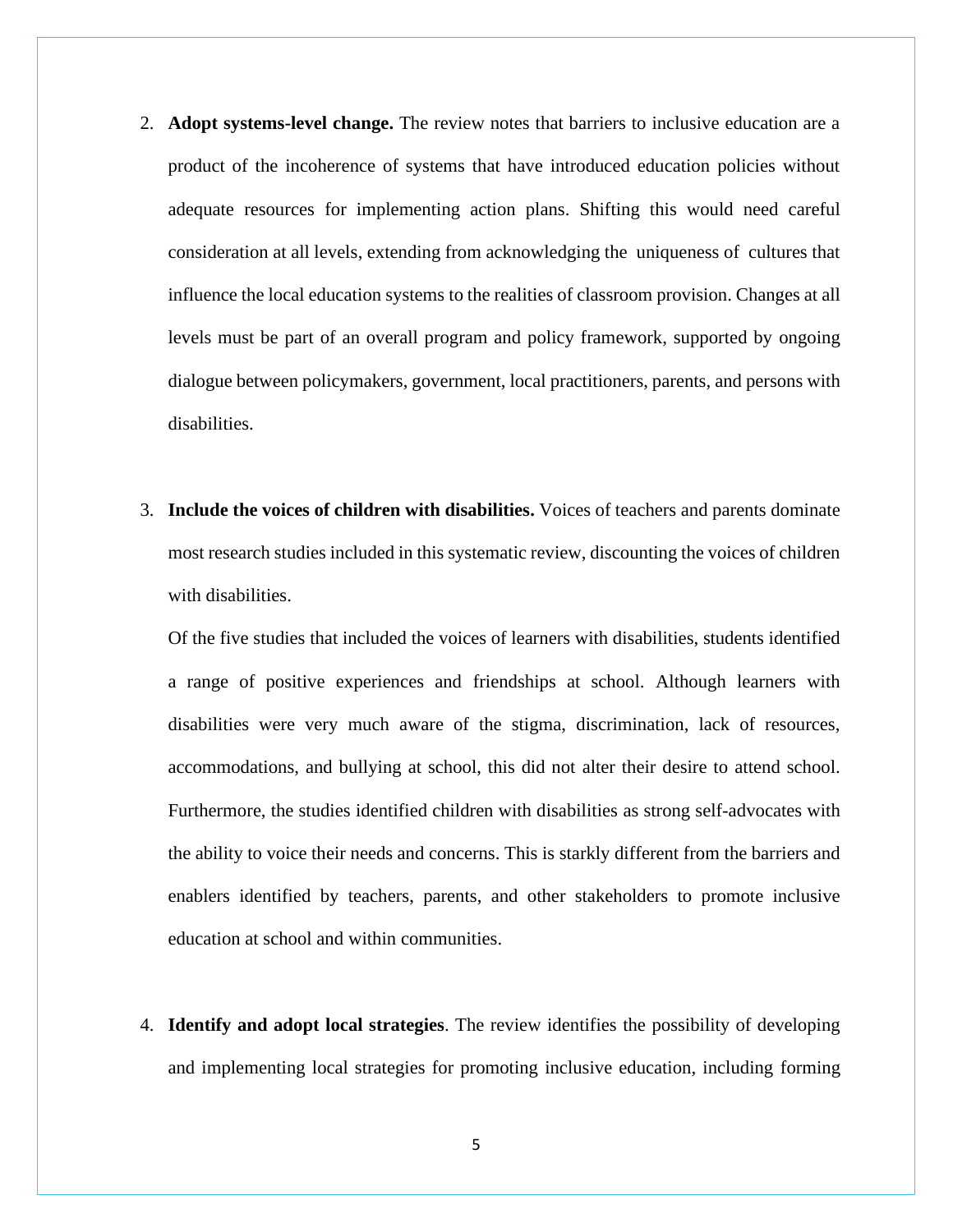- 2. **Adopt systems-level change.** The review notes that barriers to inclusive education are a product of the incoherence of systems that have introduced education policies without adequate resources for implementing action plans. Shifting this would need careful consideration at all levels, extending from acknowledging the uniqueness of cultures that influence the local education systems to the realities of classroom provision. Changes at all levels must be part of an overall program and policy framework, supported by ongoing dialogue between policymakers, government, local practitioners, parents, and persons with disabilities.
- 3. **Include the voices of children with disabilities.** Voices of teachers and parents dominate most research studies included in this systematic review, discounting the voices of children with disabilities.

Of the five studies that included the voices of learners with disabilities, students identified a range of positive experiences and friendships at school. Although learners with disabilities were very much aware of the stigma, discrimination, lack of resources, accommodations, and bullying at school, this did not alter their desire to attend school. Furthermore, the studies identified children with disabilities as strong self-advocates with the ability to voice their needs and concerns. This is starkly different from the barriers and enablers identified by teachers, parents, and other stakeholders to promote inclusive education at school and within communities.

4. **Identify and adopt local strategies**. The review identifies the possibility of developing and implementing local strategies for promoting inclusive education, including forming